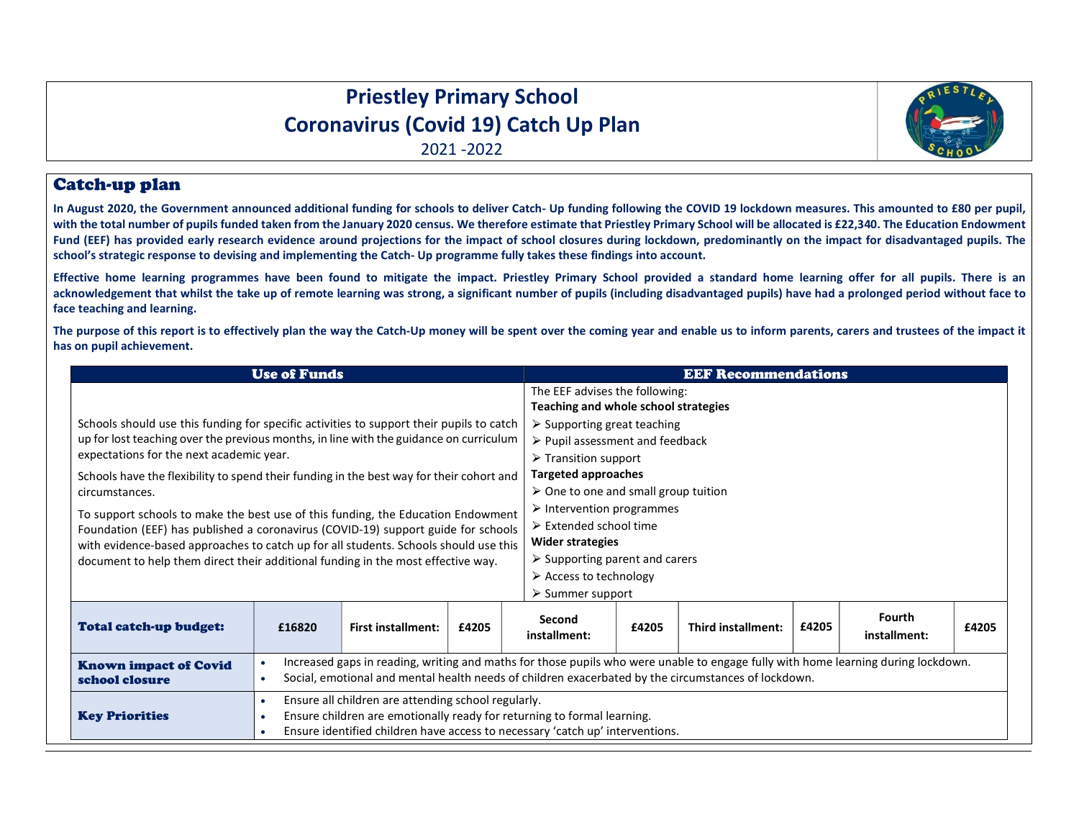## Priestley Primary School Coronavirus (Covid 19) Catch Up Plan

2021 -2022

## Catch-up plan

In August 2020, the Government announced additional funding for schools to deliver Catch- Up funding following the COVID 19 lockdown measures. This amounted to £80 per pupil, with the total number of pupils funded taken from the January 2020 census. We therefore estimate that Priestley Primary School will be allocated is £22,340. The Education Endowment Fund (EEF) has provided early research evidence around projections for the impact of school closures during lockdown, predominantly on the impact for disadvantaged pupils. The school's strategic response to devising and implementing the Catch- Up programme fully takes these findings into account.

Effective home learning programmes have been found to mitigate the impact. Priestley Primary School provided a standard home learning offer for all pupils. There is an acknowledgement that whilst the take up of remote learning was strong, a significant number of pupils (including disadvantaged pupils) have had a prolonged period without face to face teaching and learning.

The purpose of this report is to effectively plan the way the Catch-Up money will be spent over the coming year and enable us to inform parents, carers and trustees of the impact it has on pupil achievement.

| <b>Use of Funds</b>                                                                                                                                                                                                                                                                                                                               |                                                                                                                                                                                                                                                        |                           |       |                                                                                                                                                                                                                                    | <b>EEF Recommendations</b> |                    |       |                        |       |  |  |
|---------------------------------------------------------------------------------------------------------------------------------------------------------------------------------------------------------------------------------------------------------------------------------------------------------------------------------------------------|--------------------------------------------------------------------------------------------------------------------------------------------------------------------------------------------------------------------------------------------------------|---------------------------|-------|------------------------------------------------------------------------------------------------------------------------------------------------------------------------------------------------------------------------------------|----------------------------|--------------------|-------|------------------------|-------|--|--|
|                                                                                                                                                                                                                                                                                                                                                   |                                                                                                                                                                                                                                                        |                           |       | The EEF advises the following:<br>Teaching and whole school strategies                                                                                                                                                             |                            |                    |       |                        |       |  |  |
| Schools should use this funding for specific activities to support their pupils to catch<br>up for lost teaching over the previous months, in line with the guidance on curriculum<br>expectations for the next academic year.                                                                                                                    |                                                                                                                                                                                                                                                        |                           |       | $\triangleright$ Supporting great teaching<br>$\triangleright$ Pupil assessment and feedback<br>$\triangleright$ Transition support                                                                                                |                            |                    |       |                        |       |  |  |
| Schools have the flexibility to spend their funding in the best way for their cohort and<br>circumstances.                                                                                                                                                                                                                                        |                                                                                                                                                                                                                                                        |                           |       | <b>Targeted approaches</b><br>$\geq$ One to one and small group tuition                                                                                                                                                            |                            |                    |       |                        |       |  |  |
| To support schools to make the best use of this funding, the Education Endowment<br>Foundation (EEF) has published a coronavirus (COVID-19) support guide for schools<br>with evidence-based approaches to catch up for all students. Schools should use this<br>document to help them direct their additional funding in the most effective way. |                                                                                                                                                                                                                                                        |                           |       | $\triangleright$ Intervention programmes<br>$\triangleright$ Extended school time<br>Wider strategies<br>$\triangleright$ Supporting parent and carers<br>$\triangleright$ Access to technology<br>$\triangleright$ Summer support |                            |                    |       |                        |       |  |  |
| Total catch-up budget:                                                                                                                                                                                                                                                                                                                            | £16820                                                                                                                                                                                                                                                 | <b>First installment:</b> | £4205 | Second<br>installment:                                                                                                                                                                                                             | £4205                      | Third installment: | £4205 | Fourth<br>installment: | £4205 |  |  |
| <b>Known impact of Covid</b><br>school closure                                                                                                                                                                                                                                                                                                    | Increased gaps in reading, writing and maths for those pupils who were unable to engage fully with home learning during lockdown.<br>Social, emotional and mental health needs of children exacerbated by the circumstances of lockdown.<br>$\bullet$  |                           |       |                                                                                                                                                                                                                                    |                            |                    |       |                        |       |  |  |
| <b>Key Priorities</b>                                                                                                                                                                                                                                                                                                                             | Ensure all children are attending school regularly.<br>$\bullet$<br>Ensure children are emotionally ready for returning to formal learning.<br>$\bullet$<br>Ensure identified children have access to necessary 'catch up' interventions.<br>$\bullet$ |                           |       |                                                                                                                                                                                                                                    |                            |                    |       |                        |       |  |  |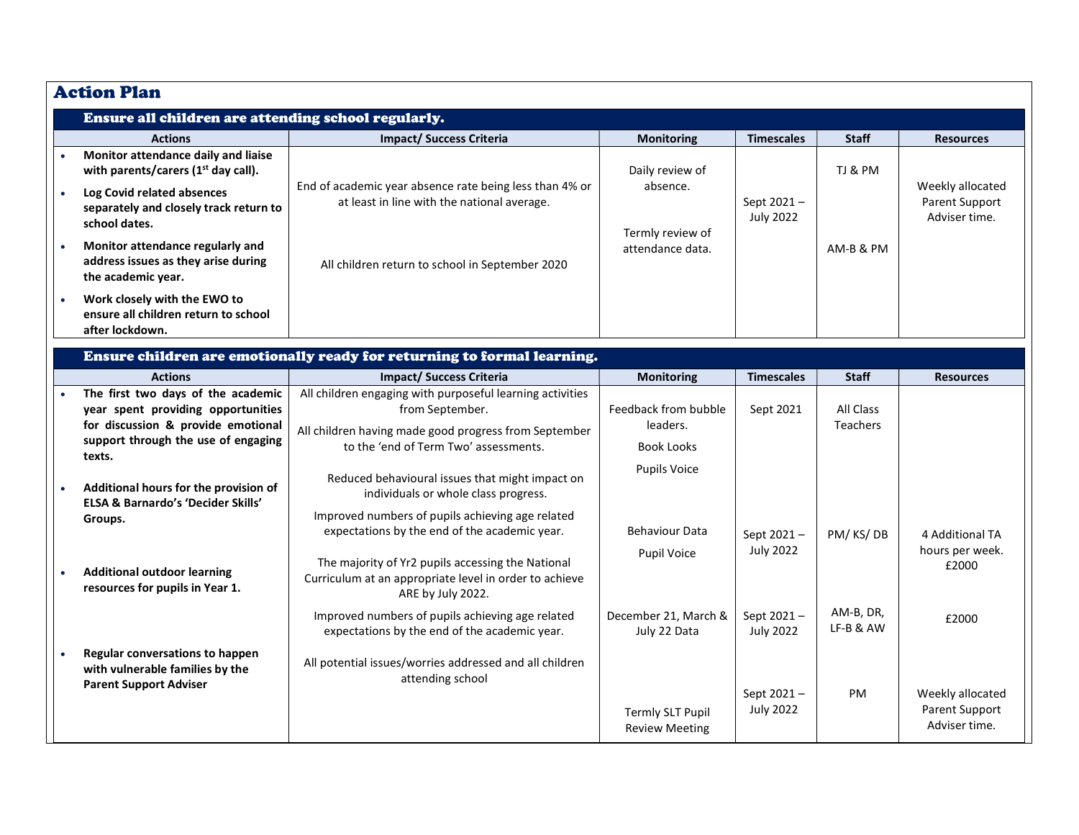| <b>Action Plan</b>                                                                                                                                              |                                                                                                                                                                                |                                                       |                                |                        |                                                     |
|-----------------------------------------------------------------------------------------------------------------------------------------------------------------|--------------------------------------------------------------------------------------------------------------------------------------------------------------------------------|-------------------------------------------------------|--------------------------------|------------------------|-----------------------------------------------------|
| Ensure all children are attending school regularly.                                                                                                             |                                                                                                                                                                                |                                                       |                                |                        |                                                     |
| <b>Actions</b>                                                                                                                                                  | <b>Impact/ Success Criteria</b>                                                                                                                                                | <b>Monitoring</b>                                     | <b>Timescales</b>              | <b>Staff</b>           | <b>Resources</b>                                    |
| Monitor attendance daily and liaise<br>with parents/carers (1 <sup>st</sup> day call).<br>Log Covid related absences<br>separately and closely track return to  | End of academic year absence rate being less than 4% or<br>at least in line with the national average.                                                                         | Daily review of<br>absence.                           | Sept 2021-                     | TJ & PM                | Weekly allocated<br>Parent Support                  |
| school dates.<br>Monitor attendance regularly and<br>address issues as they arise during                                                                        | All children return to school in September 2020                                                                                                                                | Termly review of<br>attendance data.                  | <b>July 2022</b>               | AM-B & PM              | Adviser time.                                       |
| the academic year.<br>Work closely with the EWO to<br>ensure all children return to school                                                                      |                                                                                                                                                                                |                                                       |                                |                        |                                                     |
| after lockdown.                                                                                                                                                 | Ensure children are emotionally ready for returning to formal learning.                                                                                                        |                                                       |                                |                        |                                                     |
| <b>Actions</b>                                                                                                                                                  | <b>Impact/ Success Criteria</b>                                                                                                                                                | <b>Monitoring</b>                                     | <b>Timescales</b>              | <b>Staff</b>           | <b>Resources</b>                                    |
| The first two days of the academic<br>year spent providing opportunities<br>for discussion & provide emotional<br>support through the use of engaging<br>texts. | All children engaging with purposeful learning activities<br>from September.<br>All children having made good progress from September<br>to the 'end of Term Two' assessments. | Feedback from bubble<br>leaders.<br><b>Book Looks</b> | Sept 2021                      | All Class<br>Teachers  |                                                     |
| Additional hours for the provision of<br><b>ELSA &amp; Barnardo's 'Decider Skills'</b>                                                                          | Reduced behavioural issues that might impact on<br>individuals or whole class progress.<br>Improved numbers of pupils achieving age related                                    | <b>Pupils Voice</b>                                   |                                |                        |                                                     |
| Groups.                                                                                                                                                         | expectations by the end of the academic year.                                                                                                                                  | <b>Behaviour Data</b><br>Pupil Voice                  | Sept 2021-<br><b>July 2022</b> | PM/KS/DB               | 4 Additional TA<br>hours per week.                  |
| <b>Additional outdoor learning</b><br>resources for pupils in Year 1.                                                                                           | The majority of Yr2 pupils accessing the National<br>Curriculum at an appropriate level in order to achieve<br>ARE by July 2022.                                               |                                                       |                                |                        | £2000                                               |
|                                                                                                                                                                 | Improved numbers of pupils achieving age related<br>expectations by the end of the academic year.                                                                              | December 21, March &<br>July 22 Data                  | Sept 2021-<br><b>July 2022</b> | AM-B, DR,<br>LF-B & AW | £2000                                               |
| Regular conversations to happen<br>with vulnerable families by the<br><b>Parent Support Adviser</b>                                                             | All potential issues/worries addressed and all children<br>attending school                                                                                                    |                                                       |                                |                        |                                                     |
|                                                                                                                                                                 |                                                                                                                                                                                | <b>Termly SLT Pupil</b><br><b>Review Meeting</b>      | Sept 2021-<br><b>July 2022</b> | PM                     | Weekly allocated<br>Parent Support<br>Adviser time. |